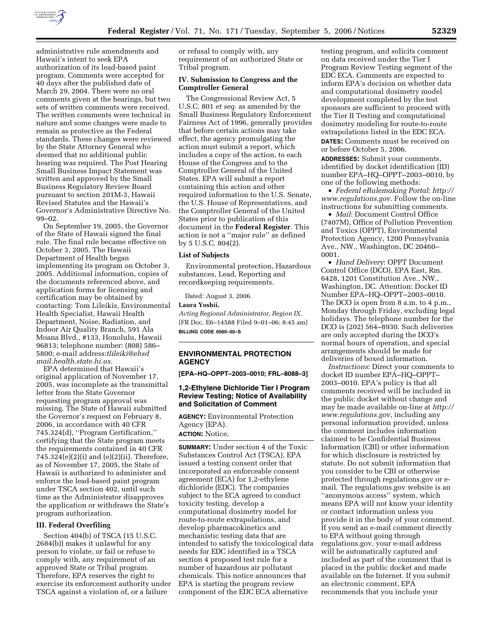

administrative rule amendments and Hawaii's intent to seek EPA authorization of its lead-based paint program. Comments were accepted for 40 days after the published date of March 29, 2004. There were no oral comments given at the hearings, but two sets of written comments were received. The written comments were technical in nature and some changes were made to remain as protective as the Federal standards. These changes were reviewed by the State Attorney General who deemed that no additional public hearing was required. The Post Hearing Small Business Impact Statement was written and approved by the Small Business Regulatory Review Board pursuant to section 201M-3, Hawaii Revised Statutes and the Hawaii's Governor's Administrative Directive No. 99–02.

On September 19, 2005, the Governor of the State of Hawaii signed the final rule. The final rule became effective on October 3, 2005. The Hawaii Department of Health began implementing its program on October 3, 2005. Additional information, copies of the documents referenced above, and application forms for licensing and certification may be obtained by contacting: Tom Lileikis, Environmental Health Specialist, Hawaii Health Department, Noise, Radiation, and Indoor Air Quality Branch, 591 Ala Moana Blvd., #133, Honolulu, Hawaii 96813; telephone number: (808) 586– 5800; e-mail address:*tlileiki@ehsd mail.health.state.hi.us.* 

EPA determined that Hawaii's original application of November 17, 2005, was incomplete as the transmittal letter from the State Governor requesting program approval was missing. The State of Hawaii submitted the Governor's request on February 8, 2006, in accordance with 40 CFR 745.324(d), ''Program Certification,'' certifying that the State program meets the requirements contained in 40 CFR 745.324(e)(2)(i) and (e)(2)(ii). Therefore, as of November 17, 2005, the State of Hawaii is authorized to administer and enforce the lead-based paint program under TSCA section 402, until such time as the Administrator disapproves the application or withdraws the State's program authorization.

# **III. Federal Overfiling**

Section 404(b) of TSCA (15 U.S.C. 2684(b)) makes it unlawful for any person to violate, or fail or refuse to comply with, any requirement of an approved State or Tribal program. Therefore, EPA reserves the right to exercise its enforcement authority under TSCA against a violation of, or a failure

or refusal to comply with, any requirement of an authorized State or Tribal program.

#### **IV. Submission to Congress and the Comptroller General**

The Congressional Review Act, 5 U.S.C. 801 *et seq*. as amended by the Small Business Regulatory Enforcement Fairness Act of 1996, generally provides that before certain actions may take effect, the agency promulgating the action must submit a report, which includes a copy of the action, to each House of the Congress and to the Comptroller General of the United States. EPA will submit a report containing this action and other required information to the U.S. Senate, the U.S. House of Representatives, and the Comptroller General of the United States prior to publication of this document in the **Federal Register**. This action is not a ''major rule'' as defined by 5 U.S.C. 804(2).

#### **List of Subjects**

Environmental protection, Hazardous substances, Lead, Reporting and recordkeeping requirements.

Dated: August 3, 2006.

#### **Laura Yoshii,**

*Acting Regional Administrator, Region IX.*  [FR Doc. E6–14588 Filed 9–01–06; 8:45 am] **BILLING CODE 6560–50–S** 

## **ENVIRONMENTAL PROTECTION AGENCY**

**[EPA–HQ–OPPT–2003–0010; FRL–8088–3]** 

## **1,2-Ethylene Dichloride Tier I Program Review Testing; Notice of Availability and Solicitation of Comment**

**AGENCY:** Environmental Protection Agency (EPA). **ACTION:** Notice.

**SUMMARY:** Under section 4 of the Toxic Substances Control Act (TSCA), EPA issued a testing consent order that incorporated an enforceable consent agreement (ECA) for 1,2-ethylene dichloride (EDC). The companies subject to the ECA agreed to conduct toxicity testing, develop a computational dosimetry model for route-to-route extrapolations, and develop pharmacokinetics and mechanistic testing data that are intended to satisfy the toxicological data needs for EDC identified in a TSCA section 4 proposed test rule for a number of hazardous air pollutant chemicals. This notice announces that EPA is starting the program review component of the EDC ECA alternative

testing program, and solicits comment on data received under the Tier I Program Review Testing segment of the EDC ECA. Comments are expected to inform EPA's decision on whether data and computational dosimetry model development completed by the test sponsors are sufficient to proceed with the Tier II Testing and computational dosimetry modeling for route-to-route extrapolations listed in the EDC ECA. **DATES:** Comments must be received on or before October 5, 2006.

**ADDRESSES:** Submit your comments, identified by docket identification (ID) number EPA–HQ–OPPT–2003–0010, by one of the following methods:

• *Federal eRulemaking Portal*: *http:// www.regulations.gov*. Follow the on-line instructions for submitting comments.

• *Mail*: Document Control Office (7407M), Office of Pollution Prevention and Toxics (OPPT), Environmental Protection Agency, 1200 Pennsylvania Ave., NW., Washington, DC 20460– 0001.

• *Hand Delivery*: OPPT Document Control Office (DCO), EPA East, Rm. 6428, 1201 Constitution Ave., NW., Washington, DC. Attention: Docket ID Number EPA–HQ–OPPT–2003–0010. The DCO is open from 8 a.m. to 4 p.m., Monday through Friday, excluding legal holidays. The telephone number for the DCO is (202) 564–8930. Such deliveries are only accepted during the DCO's normal hours of operation, and special arrangements should be made for deliveries of boxed information.

*Instructions*: Direct your comments to docket ID number EPA–HQ–OPPT– 2003–0010. EPA's policy is that all comments received will be included in the public docket without change and may be made available on-line at *http:// www.regulations.gov*, including any personal information provided, unless the comment includes information claimed to be Confidential Business Information (CBI) or other information for which disclosure is restricted by statute. Do not submit information that you consider to be CBI or otherwise protected through regulations.gov or email. The regulations.gov website is an ''anonymous access'' system, which means EPA will not know your identity or contact information unless you provide it in the body of your comment. If you send an e-mail comment directly to EPA without going through regulations.gov, your e-mail address will be automatically captured and included as part of the comment that is placed in the public docket and made available on the Internet. If you submit an electronic comment, EPA recommends that you include your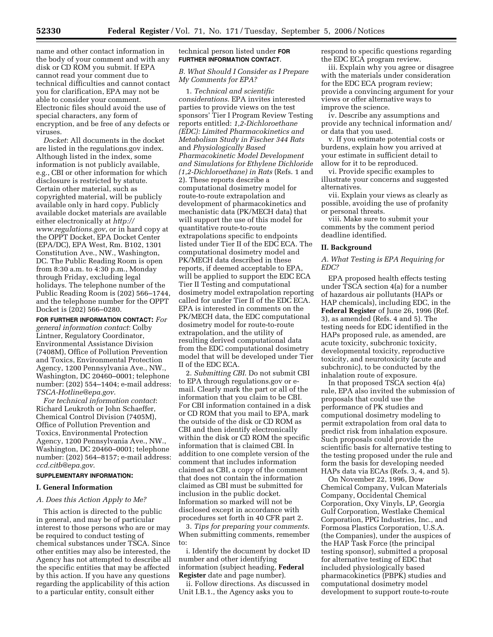name and other contact information in the body of your comment and with any disk or CD ROM you submit. If EPA cannot read your comment due to technical difficulties and cannot contact you for clarification, EPA may not be able to consider your comment. Electronic files should avoid the use of special characters, any form of encryption, and be free of any defects or viruses.

*Docket*: All documents in the docket are listed in the regulations.gov index. Although listed in the index, some information is not publicly available, e.g., CBI or other information for which disclosure is restricted by statute. Certain other material, such as copyrighted material, will be publicly available only in hard copy. Publicly available docket materials are available either electronically at *http:// www.regulations.gov*, or in hard copy at the OPPT Docket, EPA Docket Center (EPA/DC), EPA West, Rm. B102, 1301 Constitution Ave., NW., Washington, DC. The Public Reading Room is open from 8:30 a.m. to 4:30 p.m., Monday through Friday, excluding legal holidays. The telephone number of the Public Reading Room is (202) 566–1744, and the telephone number for the OPPT Docket is (202) 566–0280.

**FOR FURTHER INFORMATION CONTACT:** *For general information contact*: Colby Lintner, Regulatory Coordinator, Environmental Assistance Division (7408M), Office of Pollution Prevention and Toxics, Environmental Protection Agency, 1200 Pennsylvania Ave., NW., Washington, DC 20460–0001; telephone number: (202) 554–1404; e-mail address: *TSCA-Hotline@epa.gov*.

*For technical information contact*: Richard Leukroth or John Schaeffer, Chemical Control Division (7405M), Office of Pollution Prevention and Toxics, Environmental Protection Agency, 1200 Pennsylvania Ave., NW., Washington, DC 20460–0001; telephone number: (202) 564–8157; e-mail address: *ccd.citb@epa.gov*.

#### **SUPPLEMENTARY INFORMATION:**

#### **I. General Information**

### *A. Does this Action Apply to Me?*

This action is directed to the public in general, and may be of particular interest to those persons who are or may be required to conduct testing of chemical substances under TSCA. Since other entities may also be interested, the Agency has not attempted to describe all the specific entities that may be affected by this action. If you have any questions regarding the applicability of this action to a particular entity, consult either

#### technical person listed under **FOR FURTHER INFORMATION CONTACT**.

## *B. What Should I Consider as I Prepare My Comments for EPA?*

1. *Technical and scientific considerations*. EPA invites interested parties to provide views on the test sponsors' Tier I Program Review Testing reports entitled: *1,2-Dichloroethane (EDC): Limited Pharmacokinetics and Metabolism Study in Fischer 344 Rats*  and *Physiologically Based Pharmacokinetic Model Development and Simulations for Ethylene Dichloride (1,2-Dichloroethane) in Rats* (Refs. 1 and 2). These reports describe a computational dosimetry model for route-to-route extrapolation and development of pharmacokinetics and mechanistic data (PK/MECH data) that will support the use of this model for quantitative route-to-route extrapolations specific to endpoints listed under Tier II of the EDC ECA. The computational dosimetry model and PK/MECH data described in these reports, if deemed acceptable to EPA, will be applied to support the EDC ECA Tier II Testing and computational dosimetry model extrapolation reporting called for under Tier II of the EDC ECA. EPA is interested in comments on the PK/MECH data, the EDC computational dosimetry model for route-to-route extrapolation, and the utility of resulting derived computational data from the EDC computational dosimetry model that will be developed under Tier II of the EDC ECA.

2. *Submitting CBI*. Do not submit CBI to EPA through regulations.gov or email. Clearly mark the part or all of the information that you claim to be CBI. For CBI information contained in a disk or CD ROM that you mail to EPA, mark the outside of the disk or CD ROM as CBI and then identify electronically within the disk or CD ROM the specific information that is claimed CBI. In addition to one complete version of the comment that includes information claimed as CBI, a copy of the comment that does not contain the information claimed as CBI must be submitted for inclusion in the public docket. Information so marked will not be disclosed except in accordance with procedures set forth in 40 CFR part 2.

3. *Tips for preparing your comments*. When submitting comments, remember to:

i. Identify the document by docket ID number and other identifying information (subject heading, **Federal Register** date and page number).

ii. Follow directions. As discussed in Unit I.B.1., the Agency asks you to

respond to specific questions regarding the EDC ECA program review.

iii. Explain why you agree or disagree with the materials under consideration for the EDC ECA program review; provide a convincing argument for your views or offer alternative ways to improve the science.

iv. Describe any assumptions and provide any technical information and/ or data that you used.

v. If you estimate potential costs or burdens, explain how you arrived at your estimate in sufficient detail to allow for it to be reproduced.

vi. Provide specific examples to illustrate your concerns and suggested alternatives.

vii. Explain your views as clearly as possible, avoiding the use of profanity or personal threats.

viii. Make sure to submit your comments by the comment period deadline identified.

#### **II. Background**

### *A. What Testing is EPA Requiring for EDC?*

EPA proposed health effects testing under TSCA section 4(a) for a number of hazardous air pollutants (HAPs or HAP chemicals), including EDC, in the **Federal Register** of June 26, 1996 (Ref. 3), as amended (Refs. 4 and 5). The testing needs for EDC identified in the HAPs proposed rule, as amended, are acute toxicity, subchronic toxicity, developmental toxicity, reproductive toxicity, and neurotoxicity (acute and subchronic), to be conducted by the inhalation route of exposure.

In that proposed TSCA section 4(a) rule, EPA also invited the submission of proposals that could use the performance of PK studies and computional dosimetry modeling to permit extrapolation from oral data to predict risk from inhalation exposure. Such proposals could provide the scientific basis for alternative testing to the testing proposed under the rule and form the basis for developing needed HAPs data via ECAs (Refs. 3, 4, and 5).

On November 22, 1996, Dow Chemical Company, Vulcan Materials Company, Occidental Chemical Corporation, Oxy Vinyls, LP, Georgia Gulf Corporation, Westlake Chemical Corporation, PPG Industries, Inc., and Formosa Plastics Corporation, U.S.A. (the Companies), under the auspices of the HAP Task Force (the principal testing sponsor), submitted a proposal for alternative testing of EDC that included physiologically based pharmacokinetics (PBPK) studies and computational dosimetry model development to support route-to-route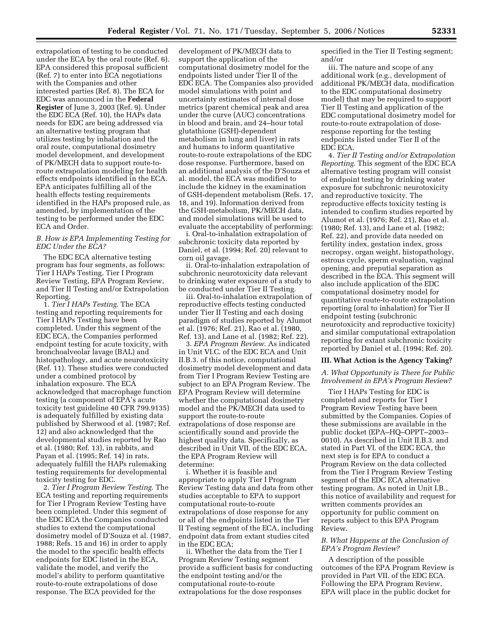extrapolation of testing to be conducted under the ECA by the oral route (Ref. 6). EPA considered this proposal sufficient (Ref. 7) to enter into ECA negotiations with the Companies and other interested parties (Ref. 8). The ECA for EDC was announced in the **Federal Register** of June 3, 2003 (Ref. 9). Under the EDC ECA (Ref. 10), the HAPs data needs for EDC are being addressed via an alternative testing program that utilizes testing by inhalation and the oral route, computational dosimetry model development, and development of PK/MECH data to support route-toroute extrapolation modeling for health effects endpoints identified in the ECA. EPA anticipates fulfilling all of the health effects testing requirements identified in the HAPs proposed rule, as amended, by implementation of the testing to be performed under the EDC ECA and Order.

## *B. How is EPA Implementing Testing for EDC Under the ECA?*

The EDC ECA alternative testing program has four segments, as follows: Tier I HAPs Testing, Tier I Program Review Testing, EPA Program Review, and Tier II Testing and/or Extrapolation Reporting.

1. *Tier I HAPs Testing*. The ECA testing and reporting requirements for Tier I HAPs Testing have been completed. Under this segment of the EDC ECA, the Companies performed endpoint testing for acute toxicity, with bronchoalveolar lavage (BAL) and histopathology, and acute neurotoxicity (Ref. 11). These studies were conducted under a combined protocol by inhalation exposure. The ECA acknowledged that macrophage function testing (a component of EPA's acute toxicity test guideline 40 CFR 799.9135) is adequately fulfilled by existing data published by Sherwood et al. (1987; Ref. 12) and also acknowledged that the developmental studies reported by Rao et al. (1980; Ref. 13), in rabbits, and Payan et al. (1995; Ref. 14) in rats, adequately fulfill the HAPs rulemaking testing requirements for developmental toxicity testing for EDC.

2. *Tier I Program Review Testing*. The ECA testing and reporting requirements for Tier I Program Review Testing have been completed. Under this segment of the EDC ECA the Companies conducted studies to extend the computational dosimetry model of D'Souza et al. (1987, 1988; Refs. 15 and 16) in order to apply the model to the specific health effects endpoints for EDC listed in the ECA, validate the model, and verify the model's ability to perform quantitative route-to-route extrapolations of dose response. The ECA provided for the

development of PK/MECH data to support the application of the computational dosimetry model for the endpoints listed under Tier II of the EDC ECA. The Companies also provided model simulations with point and uncertainty estimates of internal dose metrics (parent chemical peak and area under the curve (AUC) concentrations in blood and brain, and 24–hour total glutathione (GSH)-dependent metabolism in lung and liver) in rats and humans to inform quantitative route-to-route extrapolations of the EDC dose response. Furthermore, based on an additional analysis of the D'Souza et al. model, the ECA was modified to include the kidney in the examination of GSH-dependent metabolism (Refs. 17, 18, and 19). Information derived from the GSH-metabolism, PK/MECH data, and model simulations will be used to evaluate the acceptability of performing:

i. Oral-to-inhalation extrapolation of subchronic toxicity data reported by Daniel, et al. (1994; Ref. 20) relevant to corn oil gavage.

ii. Oral-to-inhalation extrapolation of subchronic neurotoxicity data relevant to drinking water exposure of a study to be conducted under Tier II Testing.

iii. Oral-to-inhalation extrapolation of reproductive effects testing conducted under Tier II Testing and each dosing paradigm of studies reported by Alumot et al. (1976; Ref. 21), Rao et al. (1980, Ref. 13), and Lane et al. (1982; Ref. 22).

3. *EPA Program Review*. As indicated in Unit VI.C. of the EDC ECA and Unit II.B.3. of this notice, computational dosimetry model development and data from Tier I Program Review Testing are subject to an EPA Program Review. The EPA Program Review will determine whether the computational dosimetry model and the PK/MECH data used to support the route-to-route extrapolations of dose response are scientifically sound and provide the highest quality data. Specifically, as described in Unit VII. of the EDC ECA, the EPA Program Review will determine:

i. Whether it is feasible and appropriate to apply Tier I Program Review Testing data and data from other studies acceptable to EPA to support computational route-to-route extrapolations of dose response for any or all of the endpoints listed in the Tier II Testing segment of the ECA, including endpoint data from extant studies cited in the EDC ECA;

ii. Whether the data from the Tier I Program Review Testing segment provide a sufficient basis for conducting the endpoint testing and/or the computational route-to-route extrapolations for the dose responses

specified in the Tier II Testing segment; and/or

iii. The nature and scope of any additional work (e.g., development of additional PK/MECH data, modification to the EDC computational dosimetry model) that may be required to support Tier II Testing and application of the EDC computational dosimetry model for route-to-route extrapolation of doseresponse reporting for the testing endpoints listed under Tier II of the EDC ECA.

4. *Tier II Testing and/or Extrapolation Reporting*. This segment of the EDC ECA alternative testing program will consist of endpoint testing by drinking water exposure for subchronic neurotoxicity and reproductive toxicity. The reproductive effects toxicity testing is intended to confirm studies reported by Alumot et al. (1976; Ref. 21), Rao et al. (1980; Ref. 13), and Lane et al. (1982; Ref. 22), and provide data needed on fertility index, gestation index, gross necropsy, organ weight, histopathology, estrous cycle, sperm evaluation, vaginal opening, and preputial separation as described in the ECA. This segment will also include application of the EDC computational dosimetry model for quantitative route-to-route extrapolation reporting (oral to inhalation) for Tier II endpoint testing (subchronic neurotoxicity and reproductive toxicity) and similar computational extrapolation reporting for extant subchronic toxicity reported by Daniel et al. (1994; Ref. 20).

#### **III. What Action is the Agency Taking?**

*A. What Opportunity is There for Public Involvement in EPA's Program Review?* 

Tier I HAPs Testing for EDC is completed and reports for Tier I Program Review Testing have been submitted by the Companies. Copies of these submissions are available in the public docket (EPA–HQ–OPPT–2003– 0010). As described in Unit II.B.3. and stated in Part VI. of the EDC ECA, the next step is for EPA to conduct a Program Review on the data collected from the Tier I Program Review Testing segment of the EDC ECA alternative testing program. As noted in Unit I.B., this notice of availability and request for written comments provides an opportunity for public comment on reports subject to this EPA Program Review.

## *B. What Happens at the Conclusion of EPA's Program Review?*

A description of the possible outcomes of the EPA Program Review is provided in Part VII. of the EDC ECA. Following the EPA Program Review, EPA will place in the public docket for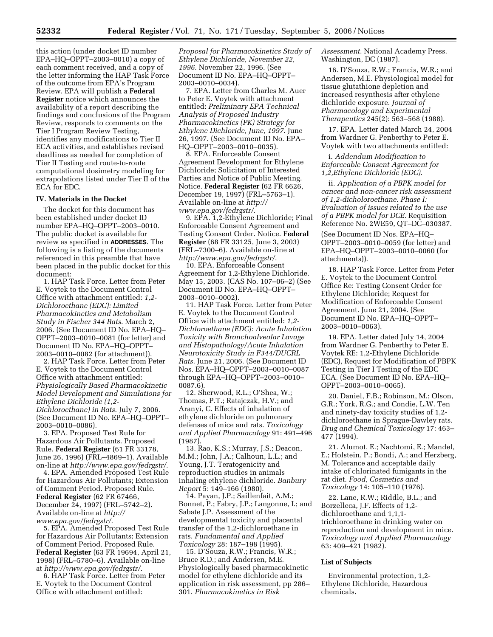this action (under docket ID number EPA–HQ–OPPT–2003–0010) a copy of each comment received, and a copy of the letter informing the HAP Task Force of the outcome from EPA's Program Review. EPA will publish a **Federal Register** notice which announces the availability of a report describing the findings and conclusions of the Program Review, responds to comments on the Tier I Program Review Testing, identifies any modifications to Tier II ECA activities, and establishes revised deadlines as needed for completion of Tier II Testing and route-to-route computational dosimetry modeling for extrapolations listed under Tier II of the ECA for EDC.

### **IV. Materials in the Docket**

The docket for this document has been established under docket ID number EPA–HQ–OPPT–2003–0010. The public docket is available for review as specified in **ADDRESSES**. The following is a listing of the documents referenced in this preamble that have been placed in the public docket for this document:

1. HAP Task Force. Letter from Peter E. Voytek to the Document Control Office with attachment entitled: *1,2- Dichloroethane (EDC): Limited Pharmacokinetics and Metabolism Study in Fischer 344 Rats*. March 2, 2006. (See Document ID No. EPA–HQ– OPPT–2003–0010–0081 (for letter) and Document ID No. EPA–HQ–OPPT– 2003–0010–0082 (for attachment)).

2. HAP Task Force. Letter from Peter E. Voytek to the Document Control Office with attachment entitled: *Physiologically Based Pharmacokinetic Model Development and Simulations for Ethylene Dichloride (1,2- Dichloroethane) in Rats*. July 7, 2006. (See Document ID No. EPA–HQ–OPPT– 2003–0010–0086).

3. EPA. Proposed Test Rule for Hazardous Air Pollutants. Proposed Rule. **Federal Register** (61 FR 33178, June 26, 1996) (FRL–4869–1). Available on-line at *http://www.epa.gov/fedrgstr/*.

4. EPA. Amended Proposed Test Rule for Hazardous Air Pollutants; Extension of Comment Period. Proposed Rule. **Federal Register** (62 FR 67466, December 24, 1997) (FRL–5742–2). Available on-line at *http:// www.epa.gov/fedrgstr/*.

5. EPA. Amended Proposed Test Rule for Hazardous Air Pollutants; Extension of Comment Period. Proposed Rule. **Federal Register** (63 FR 19694, April 21, 1998) (FRL–5780–6). Available on-line at *http://www.epa.gov/fedrgstr/*.

6. HAP Task Force. Letter from Peter E. Voytek to the Document Control Office with attachment entitled:

*Proposal for Pharmacokinetics Study of Ethylene Dichloride, November 22, 1996*. November 22, 1996. (See Document ID No. EPA–HQ–OPPT– 2003–0010–0034).

7. EPA. Letter from Charles M. Auer to Peter E. Voytek with attachment entitled: *Preliminary EPA Technical Analysis of Proposed Industry Pharmacokinetics (PK) Strategy for Ethylene Dichloride, June, 1997*. June 26, 1997. (See Document ID No. EPA– HQ–OPPT–2003–0010–0035).

8. EPA. Enforceable Consent Agreement Development for Ethylene Dichloride; Solicitation of Interested Parties and Notice of Public Meeting. Notice. **Federal Register** (62 FR 6626, December 19, 1997) (FRL–5763–1). Available on-line at *http:// www.epa.gov/fedrgstr/*.

9. EPA. 1,2-Ethylene Dichloride; Final Enforceable Consent Agreement and Testing Consent Order. Notice. **Federal Register** (68 FR 33125, June 3, 2003) (FRL–7300–6). Available on-line at *http://www.epa.gov/fedrgstr/*.

10. EPA. Enforceable Consent Agreement for 1,2-Ethylene Dichloride. May 15, 2003. (CAS No. 107–06–2) (See Document ID No. EPA–HQ–OPPT– 2003–0010–0002).

11. HAP Task Force. Letter from Peter E. Voytek to the Document Control Office with attachment entitled: *1,2- Dichloroethane (EDC): Acute Inhalation Toxicity with Bronchoalveolar Lavage and Histopathology/Acute Inhalation Neurotoxicity Study in F344/DUCRL Rats*. June 21, 2006. (See Document ID Nos. EPA–HQ–OPPT–2003–0010–0087 through EPA–HQ–OPPT–2003–0010– 0087.6).

12. Sherwood, R.L.; O'Shea, W.; Thomas, P.T.; Ratajczak, H.V.; and Aranyi, C. Effects of inhalation of ethylene dichloride on pulmonary defenses of mice and rats. *Toxicology and Applied Pharmacology* 91: 491–496 (1987).

13. Rao, K.S.; Murray, J.S.; Deacon, M.M.; John, J.A.; Calhoun, L.L.; and Young, J.T. Teratogenicity and reproduction studies in animals inhaling ethylene dichloride. *Banbury Report* 5: 149–166 (1980).

14. Payan, J.P.; Saillenfait, A.M.; Bonnet, P.; Fabry, J.P.; Langonne, I.; and Sabate J.P. Assessment of the developmental toxicity and placental transfer of the 1,2-dichloroethane in rats. *Fundamental and Applied Toxicology* 28: 187–198 (1995).

15. D'Souza, R.W.; Francis, W.R.; Bruce R.D.; and Andersen, M.E. Physiologically based pharmacokinetic model for ethylene dichloride and its application in risk assessment, pp 286– 301. *Pharmacokinetics in Risk* 

*Assessment*. National Academy Press. Washington, DC (1987).

16. D'Souza, R.W.; Francis, W.R.; and Andersen, M.E. Physiological model for tissue glutathione depletion and increased resynthesis after ethylene dichloride exposure. *Journal of Pharmacology and Experimental Therapeutics* 245(2): 563–568 (1988).

17. EPA. Letter dated March 24, 2004 from Wardner G. Penberthy to Peter E. Voytek with two attachments entitled:

i. *Addendum Modification to Enforceable Consent Agreement for 1,2,Ethylene Dichloride (EDC)*.

ii. *Application of a PBPK model for cancer and non-cancer risk assessment of 1,2-dicholoroethane. Phase I: Evaluation of issues related to the use of a PBPK model for DCE*. Requisition Reference No. 2WE59, QT–DC–030387.

(See Document ID Nos. EPA–HQ– OPPT–2003–0010–0059 (for letter) and EPA–HQ–OPPT–2003–0010–0060 (for attachments)).

18. HAP Task Force. Letter from Peter E. Voytek to the Document Control Office Re: Testing Consent Order for Ethylene Dichloride; Request for Modification of Enforceable Consent Agreement. June 21, 2004. (See Document ID No. EPA–HQ–OPPT– 2003–0010–0063).

19. EPA. Letter dated July 14, 2004 from Wardner G. Penberthy to Peter E. Voytek RE: 1,2-Ethylene Dichloride (EDC), Request for Modification of PBPK Testing in Tier I Testing of the EDC ECA. (See Document ID No. EPA–HQ– OPPT–2003–0010–0065).

20. Daniel, F.B.; Robinson, M.; Olson, G.R.; York, R.G.; and Condie, L.W. Ten and ninety-day toxicity studies of 1,2 dichloroethane in Sprague-Dawley rats. *Drug and Chemical Toxicology* 17: 463– 477 (1994).

21. Alumot, E.; Nachtomi, E.; Mandel, E.; Holstein, P.; Bondi, A.; and Herzberg, M. Tolerance and acceptable daily intake of chlorinated fumigants in the rat diet. *Food, Cosmetics and Toxicology* 14: 105–110 (1976).

22. Lane, R.W.; Riddle, B.L.; and Borzelleca, J.F. Effects of 1,2 dichloroethane and 1,1,1 trichloroethane in drinking water on reproduction and development in mice. *Toxicology and Applied Pharmacology*  63: 409–421 (1982).

#### **List of Subjects**

Environmental protection, 1,2- Ethylene Dichloride, Hazardous chemicals.